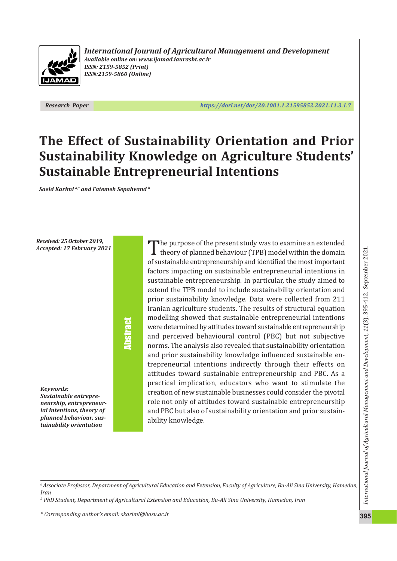

*International Journal of Agricultural Management and Development Available online on: www.ijamad.iaurasht.ac.ir ISSN: 2159 ‑5852 (Print) ISSN:2159 ‑5860 (Online)*

*Research Paper https://dorl.net/dor/20.1001.1.21595852.2021.11.3.1.7*

# **The Effect of Sustainabili[ty Orientation and Prior](https://dorl.net/dor/20.1001.1.21595852.2021.11.3.1.7) Sustainability Knowledge on Agriculture Students' Sustainable Entrepreneurial Intentions**

*Saeid Karimi a,\* and Fatemeh Sepahvand b*

*Received: 25 October 2019, Accepted: 17 February 2021*

# Abstract

*Keywords: Sustainable entrepre ‑ neurship, entrepreneur ‑ ial intentions, theory of planned behaviour, sus ‑ tainability orientation*

The purpose of the present study was to examine an extended<br>theory of planned behaviour (TPB) model within the domain of sustainable entrepreneurship and identified the most important factors impacting on sustainable entrepreneurial intentions in sustainable entrepreneurship. In particular, the study aimed to extend the TPB model to include sustainability orientation and prior sustainability knowledge. Data were collected from 211 Iranian agriculture students. The results of structural equation modelling showed that sustainable entrepreneurial intentions were determined by attitudes toward sustainable entrepreneurship and perceived behavioural control (PBC) but not subjective norms. The analysis also revealed that sustainability orientation and prior sustainability knowledge influenced sustainable en ‐ trepreneurial intentions indirectly through their effects on attitudes toward sustainable entrepreneurship and PBC. As a practical implication, educators who want to stimulate the creation of new sustainable businesses could consider the pivotal role not only of attitudes toward sustainable entrepreneurship and PBC but also of sustainability orientation and prior sustain ‐ ability knowledge.

*\* Corresponding author's email: skarimi@basu.ac.ir*

*a Associate Professor, Department of Agricultural Education and Extension, Faculty of Agriculture, Bu ‑Ali Sina University, Hamedan, Iran*

*b PhD Student, Department of Agricultural Extension and Education, Bu ‑Ali Sina University, Hamedan, Iran*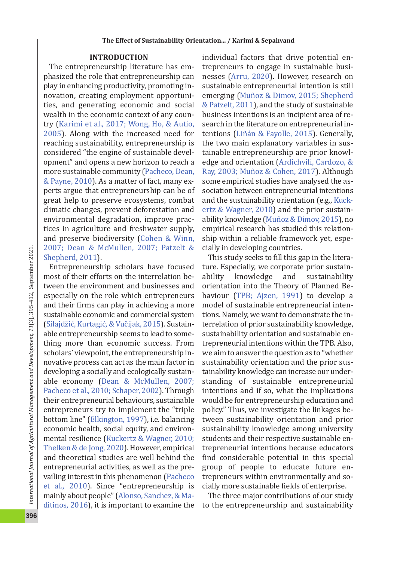## **INTRODUCTION**

The entrepreneurship literature has em ‐ phasized the role that entrepreneurship can play in enhancing productivity, promoting in ‐ novation, creating employment opportuni ‐ ties, and generating economic and social wealth in the economic context of any coun ‐ try (Karimi et al., 2017; Wong, Ho, & Autio, 2005). Along with the increased need for reaching sustainability, entrepreneurship is considered "the engine of sustainable devel ‐ opment" and opens a new horizon to reach a more sustainable community (Pacheco, Dean, & Payne, 2010). As a matter of fact, many ex ‐ perts argue that entrepreneurship can be of great help to preserve ecosystems, combat climatic changes, prevent deforestation and environmental degradation, improve prac ‐ tices in agriculture and freshwater supply, and preserve biodiversity (Cohen & Winn, 2007; Dean & McMullen, 2007; Patzelt & Shepherd, 2011).

Entrepreneurship scholars have focused most of their efforts on the interrelation be ‐ tween the environment and businesses and especially on the role which entrepreneurs and their firms can play in achieving a more sustainable economic and commercial system (Silajdžić, Kurtagić, & Vučijak, 2015). Sustain‐ able entrepreneurship seems to lead to some ‐ thing more than economic success. From scholars' viewpoint, the entrepreneurship in ‐ novative process can act as the main factor in developing a socially and ecologically sustain ‐ able economy (Dean & McMullen, 2007; Pacheco et al., 2010; Schaper, 2002). Through their entrepreneurial behaviours, sustainable entrepreneurs try to implement the "triple bottom line" (Elkington, 1997), i.e. balancing economic health, social equity, and environ ‐ mental resilience (Kuckertz & Wagner, 2010; Thelken & de Jong, 2020). However, empirical and theoretical studies are well behind the entrepreneurial activities, as well as the pre ‐ vailing interest in this phenomenon (Pacheco et al., 2010). Since "entrepreneurship is mainly about people" (Alonso, Sanchez, & Ma ‐ ditinos, 2016), it is important to examine the

individual factors that drive potential en ‐ trepreneurs to engage in sustainable busi ‐ nesses (Arru, 2020). However, research on sustainable entrepreneurial intention is still emerging (Muñoz & Dimov, 2015; Shepherd & Patzelt, 2011), and the study of sustainable business intentions is an incipient area of re ‐ search in the literature on entrepreneurial in ‐ tentions (Liñán & Fayolle, 2015). Generally, the two main explanatory variables in sus ‐ tainable entrepreneurship are prior knowl ‐ edge and orientation (Ardichvili, Cardozo, & Ray, 2003; Muñoz & Cohen, 2017). Although some empirical studies have analysed the as ‐ sociation between entrepreneurial intentions and the sustainability orientation (e.g., Kuck ‐ ertz & Wagner, 2010) and the prior sustain ‐ ability knowledge (Muñoz & Dimov, 2015), no empirical research has studied this relation ‐ ship within a reliable framework yet, espe ‐ cially in developing countries.

This study seeks to fill this gap in the litera ‐ ture. Especially, we corporate prior sustain ‐ ability knowledge and sustainability orientation into the Theory of Planned Be ‐ haviour (TPB; Ajzen, 1991) to develop a model of sustainable entrepreneurial inten ‐ tions. Namely, we want to demonstrate the in ‐ terrelation of prior sustainability knowledge, sustainability orientation and sustainable en ‐ trepreneurial intentions within the TPB. Also, we aim to answer the question as to "whether sustainability orientation and the prior sus ‐ tainability knowledge can increase our under ‐ standing of sustainable entrepreneurial intentions and if so, what the implications would be for entrepreneurship education and policy." Thus, we investigate the linkages be ‐ tween sustainability orientation and prior sustainability knowledge among university students and their respective sustainable en ‐ trepreneurial intentions because educators find considerable potential in this special group of people to educate future en ‐ trepreneurs within environmentally and so ‐ cially more sustainable fields of enterprise.

The three major contributions of our study to the entrepreneurship and sustainability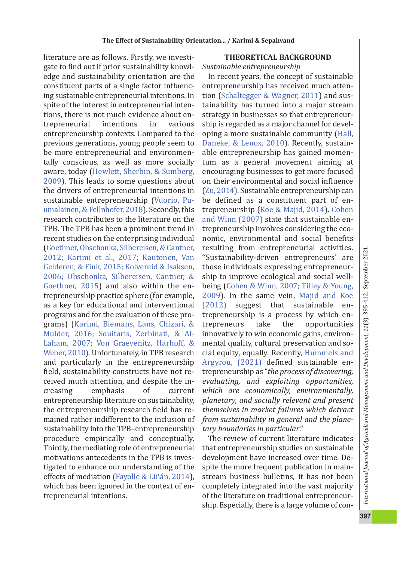literature are as follows. Firstly, we investi ‐ gate to find out if prior sustainability knowl ‐ edge and sustainability orientation are the constituent parts of a single factor in fluenc ‐ ing sustainable entrepreneurial intentions. In spite of the interest in entrepreneurial inten ‐ tions, there is not much evidence about en ‐ trepreneurial intentions in various entrepreneurship contexts. Compared to the previous generations, young people seem to be more entrepreneurial and environmen ‐ tally conscious, as well as more socially aware, today (Hewlett, Sherbin, & Sumberg, 2009). This leads to some questions about the drivers of entrepreneurial intentions in sustainable entrepreneurship (Vuorio, Pu ‐ umalainen, & Fellnhofer, 2018). Secondly, this research contributes to the literature on the TPB. The TPB has been a prominent trend in recent studies on the enterprising individual (Goethner, Obschonka, Silbereisen, & Cantner, 2012; Karimi et al., 2017; Kautonen, Van Gelderen, & Fink, 2015; Kolvereid & Isaksen, 2006; Obschonka, Silbereisen, Cantner, & Goethner, 2015) and also within the en ‐ trepreneurship practice sphere (for example, as a key for educational and interventional programs and for the evaluation of these pro ‐ grams) (Karimi, Biemans, Lans, Chizari, & Mulder, 2016; Souitaris, Zerbinati, & Al ‐ Laham, 2007; Von Graevenitz, Harhoff, & Weber, 2010). Unfortunately, in TPB research and particularly in the entrepreneurship field, sustainability constructs have not re‐ ceived much attention, and despite the in ‐ creasing emphasis of current entrepreneurship literature on sustainability, the entrepreneurship research field has re ‐ mained rather indifferent to the inclusion of sustainability into the TPB–entrepreneurship procedure empirically and conceptually. Thirdly, the mediating role of entrepreneurial motivations antecedents in the TPB is inves ‐ tigated to enhance our understanding of the effects of mediation (Fayolle & Liñán, 2014), which has been ignored in the context of en ‐ trepreneurial intentions.

# **THEORETICAL BACKGROUND**

#### *Sustainable entrepreneurship*

In recent years, the concept of sustainable entrepreneurship has received much atten ‐ tion (Schaltegger & Wagner, 2011) and sus ‐ tainability has turned into a major stream strategy in businesses so that entrepreneur ‐ ship is regarded as a major channel for devel ‐ oping a more sustainable community (Hall, Daneke, & Lenox, 2010). Recently, sustainable entrepreneurship has gained momen ‐ tum as a general movement aiming at encouraging businesses to get more focused on their environmental and social in fluence (Zu, 2014). Sustainable entrepreneurship can be de fined as a constituent part of en ‐ trepreneurship (Koe & Majid, 2014). Cohen and Winn (2007) state that sustainable en ‐ trepreneurship involves considering the eco ‐ nomic, environmental and social bene fits resulting from entrepreneurial activities. ''Sustainability ‐driven entrepreneurs' are those individuals expressing entrepreneur ‐ ship to improve ecological and social well ‐ being (Cohen & Winn, 2007; Tilley & Young, 2009). In the same vein, Majid and Koe  $(2012)$  suggest that sustainable entrepreneurship is a process by which en ‐ trepreneurs take the opportunities innovatively to win economic gains, environ ‐ mental quality, cultural preservation and so ‐ cial equity, equally. Recently, Hummels and Argyrou, (2021) de fined sustainable en ‐ trepreneurship as "*the process of discovering, evaluating, and exploiting opportunities, which are economically, environmentally, planetary, and socially relevant and present themselves in market failures which detract from sustainability in general and the plane ‑ tary boundaries in particular*."

The review of current literature indicates that entrepreneurship studies on sustainable development have increased over time. De ‐ spite the more frequent publication in main ‐ stream business bulletins, it has not been completely integrated into the vast majority of the literature on traditional entrepreneur ‐ ship. Especially, there is a large volume of con ‐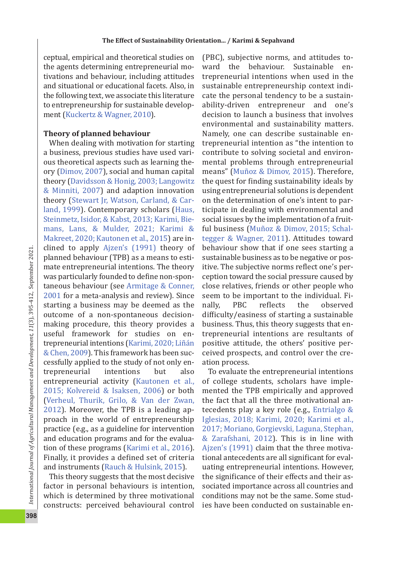ceptual, empirical and theoretical studies on the agents determining entrepreneurial mo ‐ tivations and behaviour, including attitudes and situational or educational facets. Also, in the following text, we associate this literature to entrepreneurship for sustainable develop ‐ ment (Kuckertz & Wagner, 2010).

# **Theory of planned behaviour**

When dealing with motivation for starting a business, previous studies have used vari ‐ ous theoretical aspects such as learning the ‐ ory (Dimov, 2007), social and human capital theory (Davidsson & Honig, 2003; Langowitz & Minniti, 2007) and adaption innovation theory (Stewart Jr, Watson, Carland, & Car ‐ land, 1999). Contemporary scholars (Haus, Steinmetz, Isidor, & Kabst, 2013; Karimi, Bie ‐ mans, Lans, & Mulder, 2021; Karimi & Makreet, 2020; Kautonen et al., 2015) are in ‐ clined to apply Ajzen's (1991) theory of planned behaviour (TPB) as a means to esti ‐ mate entrepreneurial intentions. The theory was particularly founded to de fine non ‐spon ‐ taneous behaviour (see Armitage & Conner, 2001 for a meta-analysis and review). Since starting a business may be deemed as the outcome of a non ‐spontaneous decision ‐ making procedure, this theory provides a useful framework for studies on en ‐ trepreneurial intentions (Karimi, 2020; Liñán & Chen, 2009). This framework has been suc ‐ cessfully applied to the study of not only en ‐ trepreneurial intentions but also entrepreneurial activity (Kautonen et al., 2015; Kolvereid & Isaksen, 2006) or both (Verheul, Thurik, Grilo, & Van der Zwan, 2012). Moreover, the TPB is a leading ap ‐ proach in the world of entrepreneurship practice (e.g., as a guideline for intervention and education programs and for the evalua ‐ tion of these programs (Karimi et al., 2016). Finally, it provides a de fined set of criteria and instruments (Rauch & Hulsink, 2015).

This theory suggests that the most decisive factor in personal behaviours is intention, which is determined by three motivational constructs: perceived behavioural control (PBC), subjective norms, and attitudes to ‐ ward the behaviour. Sustainable entrepreneurial intentions when used in the sustainable entrepreneurship context indi ‐ cate the personal tendency to be a sustain ‐ ability ‐driven entrepreneur and one's decision to launch a business that involves environmental and sustainability matters. Namely, one can describe sustainable en ‐ trepreneurial intention as "the intention to contribute to solving societal and environ ‐ mental problems through entrepreneurial means" (Muñoz & Dimov, 2015). Therefore, the quest for finding sustainability ideals by using entrepreneurial solutions is dependent on the determination of one's intent to par ‐ ticipate in dealing with environmental and social issues by the implementation of a fruit ‐ ful business (Muñoz & Dimov, 2015; Schal ‐ tegger & Wagner, 2011). Attitudes toward behaviour show that if one sees starting a sustainable business as to be negative or pos ‐ itive. The subjective norms re flect one's per ‐ ception toward the social pressure caused by close relatives, friends or other people who seem to be important to the individual. Fi ‐ nally, PBC re the observed difficulty/easiness of starting a sustainable business. Thus, this theory suggests that en ‐ trepreneurial intentions are resultants of positive attitude, the others' positive per ‐ ceived prospects, and control over the cre ‐ ation process.

To evaluate the entrepreneurial intentions of college students, scholars have imple ‐ mented the TPB empirically and approved the fact that all the three motivational an ‐ tecedents play a key role (e.g., Entrialgo & Iglesias, 2018; Karimi, 2020; Karimi et al., 2017; Moriano, Gorgievski, Laguna, Stephan, & Zarafshani, 2012). This is in line with Ajzen's (1991) claim that the three motiva ‐ tional antecedents are all signi ficant for eval ‐ uating entrepreneurial intentions. However, the signi ficance of their effects and their as ‐ sociated importance across all countries and conditions may not be the same. Some stud ‐ ies have been conducted on sustainable en ‐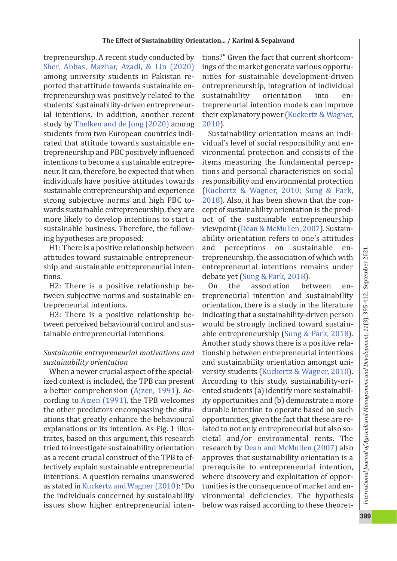trepreneurship. A recent study conducted by Sher, Abbas, Mazhar, Azadi, & Lin (2020) among university students in Pakistan re ‐ ported that attitude towards sustainable en ‐ trepreneurship was positively related to the students' sustainability-driven entrepreneurial intentions. In addition, another recent study by Thelken and de Jong (2020) among students from two European countries indi ‐ cated that attitude towards sustainable en ‐ trepreneurship and PBC positively in fluenced intentions to become a sustainable entrepre ‐ neur. It can, therefore, be expected that when individuals have positive attitudes towards sustainable entrepreneurship and experience strong subjective norms and high PBC to ‐ wards sustainable entrepreneurship, they are more likely to develop intentions to start a sustainable business. Therefore, the follow ‐ ing hypotheses are proposed:

H1: There is a positive relationship between attitudes toward sustainable entrepreneur ‐ ship and sustainable entrepreneurial inten ‐ tions.

H2: There is a positive relationship be ‐ tween subjective norms and sustainable en ‐ trepreneurial intentions.

H3: There is a positive relationship be ‐ tween perceived behavioural control and sus ‐ tainable entrepreneurial intentions.

# *Sustainable entrepreneurial motivations and sustainability orientation*

When a newer crucial aspect of the special ‐ ized context is included, the TPB can present a better comprehension (Ajzen, 1991). Ac ‐ cording to Ajzen (1991), the TPB welcomes the other predictors encompassing the situ ‐ ations that greatly enhance the behavioural explanations or its intention. As Fig. 1 illustrates, based on this argument, this research tried to investigate sustainability orientation as a recent crucial construct of the TPB to ef‐ fectively explain sustainable entrepreneurial intentions. A question remains unanswered as stated in Kuckertz and Wagner (2010): "Do the individuals concerned by sustainability issues show higher entrepreneurial inten ‐

tions?" Given the fact that current shortcom ‐ ings of the market generate various opportu ‐ nities for sustainable development ‐driven entrepreneurship, integration of individual sustainability orientation into entrepreneurial intention models can improve their explanatory power (Kuckertz & Wagner, 2010).

Sustainability orientation means an indi ‐ vidual's level of social responsibility and en ‐ vironmental protection and consists of the items measuring the fundamental percep ‐ tions and personal characteristics on social responsibility and environmental protection (Kuckertz & Wagner, 2010; Sung & Park, 2018). Also, it has been shown that the con ‐ cept of sustainability orientation is the prod ‐ uct of the sustainable entrepreneurship viewpoint (Dean & McMullen, 2007). Sustain ‐ ability orientation refers to one's attitudes and perceptions on sustainable entrepreneurship, the association of which with entrepreneurial intentions remains under debate yet (Sung & Park, 2018).

On the association between entrepreneurial intention and sustainability orientation, there is a study in the literature indicating that a sustainability ‐driven person would be strongly inclined toward sustain ‐ able entrepreneurship (Sung & Park, 2018). Another study shows there is a positive rela ‐ tionship between entrepreneurial intentions and sustainability orientation amongst uni ‐ versity students (Kuckertz & Wagner, 2010). According to this study, sustainability ‐ori ‐ ented students (a) identify more sustainabil ‐ ity opportunities and (b) demonstrate a more durable intention to operate based on such opportunities, given the fact that these are re ‐ lated to not only entrepreneurial but also so ‐ cietal and/or environmental rents. The research by Dean and McMullen (2007) also approves that sustainability orientation is a prerequisite to entrepreneurial intention, where discovery and exploitation of oppor ‐ tunities is the consequence of market and en ‐ vironmental de ficiencies. The hypothesis below was raised according to these theoret ‐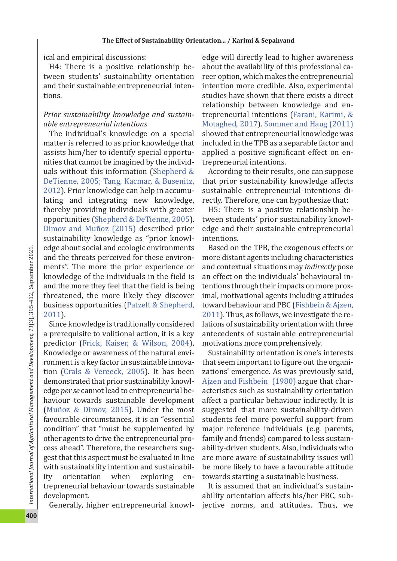ical and empirical discussions:

H4: There is a positive relationship be ‐ tween students' sustainability orientation and their sustainable entrepreneurial inten ‐ tions.

# *Prior sustainability knowledge and sustain ‑ able entrepreneurial intentions*

The individual's knowledge on a special matter is referred to as prior knowledge that assists him/her to identify special opportu ‐ nities that cannot be imagined by the individ ‐ uals without this information (Shepherd & DeTienne, 2005; Tang, Kacmar, & Busenitz, 2012). Prior knowledge can help in accumu ‐ lating and integrating new knowledge, thereby providing individuals with greater opportunities (Shepherd & DeTienne, 2005). Dimov and Muñoz (2015) described prior sustainability knowledge as "prior knowl ‐ edge about social and ecologic environments and the threats perceived for these environ ‐ ments". The more the prior experience or knowledge of the individuals in the field is and the more they feel that the field is being threatened, the more likely they discover business opportunities (Patzelt & Shepherd, 2011).

Since knowledge is traditionally considered a prerequisite to volitional action, it is a key predictor (Frick, Kaiser, & Wilson, 2004). Knowledge or awareness of the natural envi ‐ ronment is a key factor in sustainable innova ‐ tion (Crals & Vereeck, 2005). It has been demonstrated that prior sustainability knowl ‐ edge *per se* cannot lead to entrepreneurial be ‐ haviour towards sustainable development (Muñoz & Dimov, 2015). Under the most favourable circumstances, it is an "essential condition" that "must be supplemented by other agents to drive the entrepreneurial pro ‐ cess ahead". Therefore, the researchers sug ‐ gest that this aspect must be evaluated in line with sustainability intention and sustainabil ‐ ity orientation when exploring entrepreneurial behaviour towards sustainable development.

Generally, higher entrepreneurial knowl ‐

edge will directly lead to higher awareness about the availability of this professional ca ‐ reer option, which makes the entrepreneurial intention more credible. Also, experimental studies have shown that there exists a direct relationship between knowledge and en ‐ trepreneurial intentions (Farani, Karimi, & Motaghed, 2017). Sommer and Haug (2011) showed that entrepreneurial knowledge was included in the TPB as a separable factor and applied a positive signi ficant effect on en ‐ trepreneurial intentions.

According to their results, one can suppose that prior sustainability knowledge affects sustainable entrepreneurial intentions di ‐ rectly. Therefore, one can hypothesize that:

H5: There is a positive relationship be ‐ tween students' prior sustainability knowl ‐ edge and their sustainable entrepreneurial intentions.

Based on the TPB, the exogenous effects or more distant agents including characteristics and contextual situations may *indirectly* pose an effect on the individuals' behavioural in ‐ tentions through their impacts on more prox ‐ imal, motivational agents including attitudes toward behaviour and PBC (Fishbein & Ajzen, 2011). Thus, as follows, we investigate the re ‐ lations of sustainability orientation with three antecedents of sustainable entrepreneurial motivations more comprehensively.

Sustainability orientation is one's interests that seem important to figure out the organi ‐ zations' emergence. As was previously said, Ajzen and Fishbein (1980) argue that char ‐ acteristics such as sustainability orientation affect a particular behaviour indirectly. It is suggested that more sustainability ‐driven students feel more powerful support from major reference individuals (e.g. parents, family and friends) compared to less sustain ‐ ability ‐driven students. Also, individuals who are more aware of sustainability issues will be more likely to have a favourable attitude towards starting a sustainable business.

It is assumed that an individual's sustain ‐ ability orientation affects his/her PBC, sub ‐ jective norms, and attitudes. Thus, we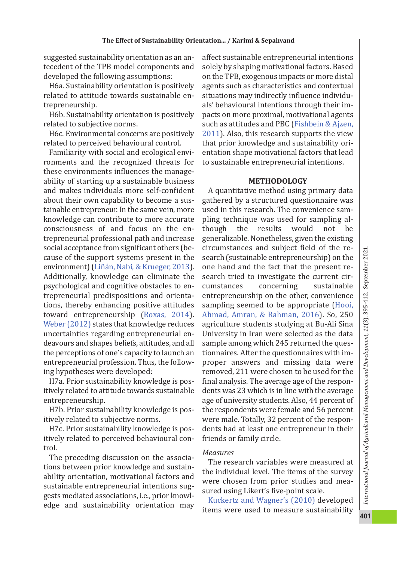suggested sustainability orientation as an an ‐ tecedent of the TPB model components and developed the following assumptions:

H6a. Sustainability orientation is positively related to attitude towards sustainable en ‐ trepreneurship.

H6b. Sustainability orientation is positively related to subjective norms.

H6c. Environmental concerns are positively related to perceived behavioural control.

Familiarity with social and ecological envi ‐ ronments and the recognized threats for these environments in fluences the manage ‐ ability of starting up a sustainable business and makes individuals more self ‐con fident about their own capability to become a sus ‐ tainable entrepreneur. In the same vein, more knowledge can contribute to more accurate consciousness of and focus on the en ‐ trepreneurial professional path and increase social acceptance from signi ficant others (be ‐ cause of the support systems present in the environment) (Liñán, Nabi, & Krueger, 2013). Additionally, knowledge can eliminate the psychological and cognitive obstacles to en ‐ trepreneurial predispositions and orienta ‐ tions, thereby enhancing positive attitudes toward entrepreneurship (Roxas, 2014). Weber (2012) states that knowledge reduces uncertainties regarding entrepreneurial en ‐ deavours and shapes beliefs, attitudes, and all the perceptions of one's capacity to launch an entrepreneurial profession. Thus, the follow ‐ ing hypotheses were developed:

H7a. Prior sustainability knowledge is pos ‐ itively related to attitude towards sustainable entrepreneurship.

H7b. Prior sustainability knowledge is pos ‐ itively related to subjective norms.

H7c. Prior sustainability knowledge is pos ‐ itively related to perceived behavioural con ‐ trol.

The preceding discussion on the associa ‐ tions between prior knowledge and sustain ‐ ability orientation, motivational factors and sustainable entrepreneurial intentions sug ‐ gests mediated associations, i.e., prior knowl ‐ edge and sustainability orientation may

affect sustainable entrepreneurial intentions solely by shaping motivational factors. Based on the TPB, exogenous impacts or more distal agents such as characteristics and contextual situations may indirectly in fluence individu ‐ als' behavioural intentions through their im ‐ pacts on more proximal, motivational agents such as attitudes and PBC (Fishbein & Ajzen, 2011). Also, this research supports the view that prior knowledge and sustainability ori ‐ entation shape motivational factors that lead to sustainable entrepreneurial intentions.

#### **METHODOLOGY**

A quantitative method using primary data gathered by a structured questionnaire was used in this research. The convenience sam ‐ pling technique was used for sampling al ‐ though the results would not be generalizable. Nonetheless, given the existing circumstances and subject field of the re ‐ search (sustainable entrepreneurship) on the one hand and the fact that the present re ‐ search tried to investigate the current cir ‐ cumstances concerning sustainable entrepreneurship on the other, convenience sampling seemed to be appropriate (Hooi, Ahmad, Amran, & Rahman, 2016). So, 250 agriculture students studying at Bu ‐Ali Sina University in Iran were selected as the data sample among which 245 returned the ques ‐ tionnaires. After the questionnaires with im ‐ proper answers and missing data were removed, 211 were chosen to be used for the final analysis. The average age of the respon‐ dents was 23 which is in line with the average age of university students. Also, 44 percent of the respondents were female and 56 percent were male. Totally, 32 percent of the respon ‐ dents had at least one entrepreneur in their friends or family circle.

#### *Measures*

The research variables were measured at the individual level. The items of the survey were chosen from prior studies and mea ‐ sured using Likert's five ‐point scale.

Kuckertz and Wagner's (2010) developed items were used to measure sustainability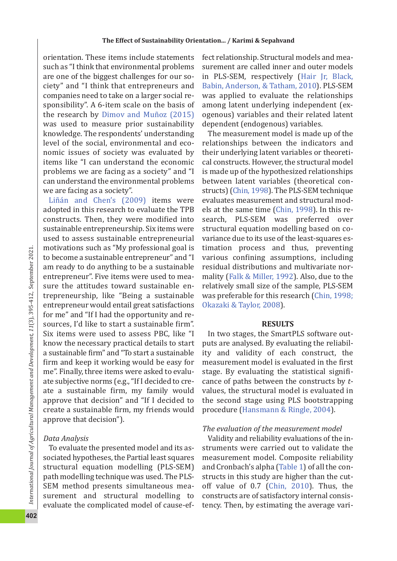orientation. These items include statements such as "I think that environmental problems are one of the biggest challenges for our so ‐ ciety" and "I think that entrepreneurs and companies need to take on a larger social re ‐ sponsibility". A 6-item scale on the basis of the research by Dimov and Muñoz (2015) was used to measure prior sustainability knowledge. The respondents' understanding level of the social, environmental and eco ‐ nomic issues of society was evaluated by items like "I can understand the economic problems we are facing as a society" and "I can understand the environmental problems we are facing as a society".

Liñán and Chen's (2009) items were adopted in this research to evaluate the TPB constructs. Then, they were modi fied into sustainable entrepreneurship. Six items were used to assess sustainable entrepreneurial motivations such as "My professional goal is to become a sustainable entrepreneur" and "I am ready to do anything to be a sustainable entrepreneur". Five items were used to mea ‐ sure the attitudes toward sustainable en ‐ trepreneurship, like "Being a sustainable entrepreneur would entail great satisfactions for me" and "If I had the opportunity and re ‐ sources, I'd like to start a sustainable firm". Six items were used to assess PBC, like "I know the necessary practical details to start a sustainable firm" and "To start a sustainable firm and keep it working would be easy for me". Finally, three items were asked to evalu ‐ ate subjective norms (e.g., "If I decided to cre ‐ ate a sustainable firm, my family would approve that decision" and "If I decided to create a sustainable firm, my friends would approve that decision").

# *Data Analysis*

To evaluate the presented model and its as ‐ sociated hypotheses, the Partial least squares structural equation modelling (PLS ‐SEM) path modelling technique was used. The PLS ‐ SEM method presents simultaneous mea ‐ surement and structural modelling to evaluate the complicated model of cause ‐ef‐

fect relationship. Structural models and mea ‐ surement are called inner and outer models in PLS ‐SEM, respectively (Hair Jr, Black, Babin, Anderson, & Tatham, 2010). PLS ‐SEM was applied to evaluate the relationships among latent underlying independent (ex ‐ ogenous) variables and their related latent dependent (endogenous) variables.

The measurement model is made up of the relationships between the indicators and their underlying latent variables or theoreti ‐ cal constructs. However, the structural model is made up of the hypothesized relationships between latent variables (theoretical con ‐ structs) (Chin, 1998). The PLS ‐SEM technique evaluates measurement and structural mod ‐ els at the same time (Chin, 1998). In this re ‐ search, PLS ‐SEM was preferred over structural equation modelling based on co ‐ variance due to its use of the least-squares estimation process and thus, preventing various con fining assumptions, including residual distributions and multivariate nor ‐ mality (Falk & Miller, 1992). Also, due to the relatively small size of the sample, PLS ‐SEM was preferable for this research (Chin, 1998; Okazaki & Taylor, 2008).

#### **RESULTS**

In two stages, the SmartPLS software out ‐ puts are analysed. By evaluating the reliabil ‐ ity and validity of each construct, the measurement model is evaluated in the first stage. By evaluating the statistical significance of paths between the constructs by *t* ‐ values, the structural model is evaluated in the second stage using PLS bootstrapping procedure (Hansmann & Ringle, 2004).

# *The evaluation of the measurement model*

Validity and reliability evaluations of the in ‐ struments were carried out to validate the measurement model. Composite reliability and Cronbach's alpha (Table 1) of all the con ‐ structs in this study are higher than the cut ‐ off value of 0.7 (Chin, 2010). Thus, the constructs are of satisfactory internal consis ‐ tency. Then, by estimating the average vari ‐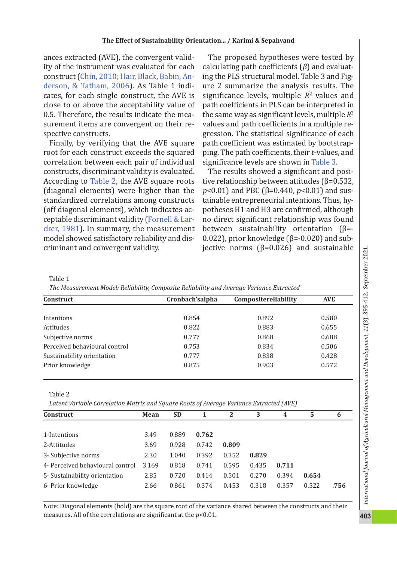ances extracted (AVE), the convergent valid ‐ ity of the instrument was evaluated for each construct (Chin, 2010; Hair, Black, Babin, An ‐ derson, & Tatham, 2006). As Table 1 indicates, for each single construct, the AVE is close to or above the acceptability value of 0.5. Therefore, the results indicate the mea ‐ surement items are convergent on their re ‐ spective constructs.

Finally, by verifying that the AVE square root for each construct exceeds the squared correlation between each pair of individual constructs, discriminant validity is evaluated. According to Table 2, the AVE square roots (diagonal elements) were higher than the standardized correlations among constructs (off diagonal elements), which indicates ac ‐ ceptable discriminant validity (Fornell & Lar ‐ cker, 1981). In summary, the measurement model showed satisfactory reliability and dis ‐ criminant and convergent validity.

The proposed hypotheses were tested by calculating path coefficients ( *β*) and evaluat ‐ ing the PLS structural model. Table 3 and Fig ‐ ure 2 summarize the analysis results. The signi ficance levels, multiple *R* 2 values and path coefficients in PLS can be interpreted in the same way as signi ficant levels, multiple *R* 2 values and path coefficients in a multiple re ‐ gression. The statistical signi ficance of each path coefficient was estimated by bootstrap ‐ ping. The path coefficients, their *t* ‐values, and signi ficance levels are shown in Table 3 .

The results showed a signi ficant and posi ‐ tive relationship between attitudes ( β=0.532, *p*<0.01) and PBC ( β=0.440, *p*<0.01) and sus ‐ tainable entrepreneurial intentions. Thus, hy ‐ potheses H1 and H3 are con firmed, although no direct signi ficant relationship was found between sustainability orientation  $(\beta = -1)$ 0.022), prior knowledge ( $β = -0.020$ ) and subjective norms ( β=0.026) and sustainable

Table 1

*The Measurement Model: Reliability, Composite Reliability and Average Variance Extracted*

| <b>Construct</b>              | Cronbach'salpha | Compositereliability | <b>AVE</b> |
|-------------------------------|-----------------|----------------------|------------|
|                               |                 |                      |            |
| Intentions                    | 0.854           | 0.892                | 0.580      |
| Attitudes                     | 0.822           | 0.883                | 0.655      |
| Subjective norms              | 0.777           | 0.868                | 0.688      |
| Perceived behavioural control | 0.753           | 0.834                | 0.506      |
| Sustainability orientation    | 0.777           | 0.838                | 0.428      |
| Prior knowledge               | 0.875           | 0.903                | 0.572      |

Table 2

*Latent Variable Correlation Matrix and Square Roots of Average Variance Extracted (AVE)*

| <b>Construct</b>                 | Mean  | <b>SD</b> | 1     | 2     | 3     | $\overline{4}$ | 5     | 6    |
|----------------------------------|-------|-----------|-------|-------|-------|----------------|-------|------|
|                                  |       |           |       |       |       |                |       |      |
| 1-Intentions                     | 3.49  | 0.889     | 0.762 |       |       |                |       |      |
| 2-Attitudes                      | 3.69  | 0.928     | 0.742 | 0.809 |       |                |       |      |
| 3- Subjective norms              | 2.30  | 1.040     | 0.392 | 0.352 | 0.829 |                |       |      |
| 4- Perceived behavioural control | 3.169 | 0.818     | 0.741 | 0.595 | 0.435 | 0.711          |       |      |
| 5- Sustainability orientation    | 2.85  | 0.720     | 0.414 | 0.501 | 0.270 | 0.394          | 0.654 |      |
| 6- Prior knowledge               | 2.66  | 0.861     | 0.374 | 0.453 | 0.318 | 0.357          | 0.522 | .756 |

Note: Diagonal elements (bold) are the square root of the variance shared between the constructs and their measures. All of the correlations are signi ficant at the *p*<0.01.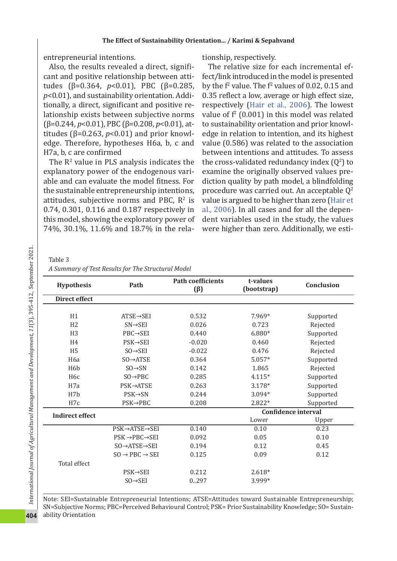entrepreneurial intentions.

Also, the results revealed a direct, significant and positive relationship between atti ‐ tudes ( β=0.364, *p*<0.01), PBC ( β=0.285, *p*<0.01), and sustainability orientation. Addi ‐ tionally, a direct, signi ficant and positive re ‐ lationship exists between subjective norms (β=0.244, *p*<0.01), PBC (β=0.208, *p*<0.01), at‐ titudes ( $\beta$ =0.263,  $p$ <0.01) and prior knowledge. Therefore, hypotheses H6a, b, c and H7a, b, c are con firmed

The R<sup>2</sup> value in PLS analysis indicates the explanatory power of the endogenous vari ‐ able and can evaluate the model fitness. For the sustainable entrepreneurship intentions, attitudes, subjective norms and PBC,  $\mathbb{R}^2$  is 0.74, 0.301, 0.116 and 0.187 respectively in this model, showing the exploratory power of 74%, 30.1%, 11.6% and 18.7% in the rela ‐

tionship, respectively.

The relative size for each incremental effect/link introduced in the model is presented by the  $f<sup>2</sup>$  value. The  $f<sup>2</sup>$  values of 0.02, 0.15 and 0.35 re flect a low, average or high effect size, respectively (Hair et al., 2006). The lowest value of  $f^2$  (0.001) in this model was related to sustainability orientation and prior knowl ‐ edge in relation to intention, and its highest value (0.586) was related to the association between intentions and attitudes. To assess the cross-validated redundancy index  $(Q^2)$  to examine the originally observed values pre ‐ diction quality by path model, a blindfolding procedure was carried out. An acceptable  $Q^2$ value is argued to be higher than zero (Hair et al., 2006). In all cases and for all the depen ‐ dent variables used in the study, the values were higher than zero. Additionally, we esti ‐

Table 3

| .                                                  |  |
|----------------------------------------------------|--|
| A Summary of Test Results for The Structural Model |  |

| <b>Hypothesis</b>      | Path                                  | <b>Path coefficients</b><br>$(\beta)$ | t-values<br>(bootstrap) | Conclusion                 |  |
|------------------------|---------------------------------------|---------------------------------------|-------------------------|----------------------------|--|
| <b>Direct effect</b>   |                                       |                                       |                         |                            |  |
| H1                     | $ATSE \rightarrow SEI$                | 0.532                                 | 7.969*                  | Supported                  |  |
| H <sub>2</sub>         | $SN \rightarrow SEI$                  | 0.026                                 | 0.723                   | Rejected                   |  |
| H <sub>3</sub>         | $PBC \rightarrow SEI$                 | 0.440                                 | 6.880*                  | Supported                  |  |
| H <sub>4</sub>         | $PSK \rightarrow SEI$                 | $-0.020$                              | 0.460                   | Rejected                   |  |
| H <sub>5</sub>         | $SO \rightarrow SEI$                  | $-0.022$                              | 0.476                   | Rejected                   |  |
| H <sub>6</sub> a       | $SO \rightarrow ATSE$                 | 0.364                                 | $5.057*$                | Supported                  |  |
| H <sub>6</sub> h       | $SO \rightarrow SN$                   | 0.142                                 | 1.865                   | Rejected                   |  |
| H <sub>6</sub> c       | $SO \rightarrow PBC$                  | 0.285                                 | $4.115*$                | Supported                  |  |
| H <sub>7</sub> a       | PSK→ATSE                              | 0.263                                 | 3.178*                  | Supported                  |  |
| H7h                    | $PSK \rightarrow SN$                  | 0.244                                 | $3.094*$                | Supported                  |  |
| H7c                    | $PSK \rightarrow PBC$                 | 0.208                                 | 2.822*                  | Supported                  |  |
| <b>Indirect effect</b> |                                       |                                       |                         | <b>Confidence interval</b> |  |
|                        |                                       |                                       | Lower                   | Upper                      |  |
|                        | PSK→ATSE→SEI                          | 0.140                                 | 0.10                    | 0.23                       |  |
|                        | $PSK \rightarrow PBC \rightarrow SEI$ | 0.092                                 | 0.05                    | 0.10                       |  |
|                        | $SO \rightarrow ATSE \rightarrow SEI$ | 0.194                                 | 0.12                    | 0.45                       |  |
|                        | $SO \rightarrow PBC \rightarrow SEI$  | 0.125                                 | 0.09                    | 0.12                       |  |
| Total effect           |                                       |                                       |                         |                            |  |
|                        | $PSK \rightarrow SEI$                 | 0.212                                 | $2.618*$                |                            |  |
|                        | $SO \rightarrow SEI$                  | 0.297                                 | 3.999*                  |                            |  |

Note: SEI=Sustainable Entrepreneurial Intentions; ATSE=Attitudes toward Sustainable Entrepreneurship; SN=Subjective Norms; PBC=Perceived Behavioural Control; PSK= Prior Sustainability Knowledge; SO= Sustain ‐ ability Orientation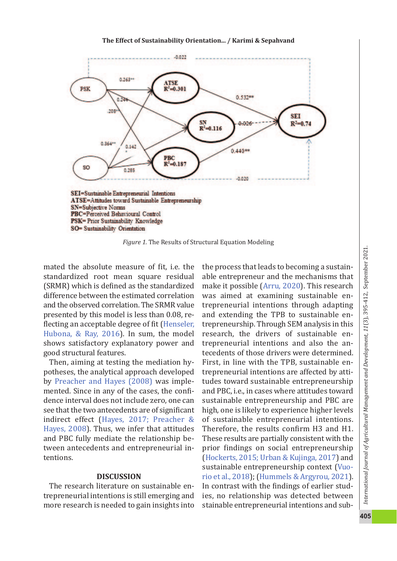

*Figure 1.* The Results of Structural Equation Modeling

mated the absolute measure of fit, i.e. the standardized root mean square residual (SRMR) which is de fined as the standardized difference between the estimated correlation and the observed correlation. The SRMR value presented by this model is less than 0.08, re ‐ flecting an acceptable degree of fit (Henseler, Hubona, & Ray, 2016). In sum, the model shows satisfactory explanatory power and good structural features.

Then, aiming at testing the mediation hy ‐ potheses, the analytical approach developed by Preacher and Hayes (2008) was imple ‐ mented. Since in any of the cases, the confidence interval does not include zero, one can see that the two antecedents are of signi ficant indirect effect (Hayes, 2017; Preacher & Hayes, 2008). Thus, we infer that attitudes and PBC fully mediate the relationship be ‐ tween antecedents and entrepreneurial in ‐ tentions.

#### **DISCUSSION**

The research literature on sustainable en ‐ trepreneurial intentions is still emerging and more research is needed to gain insights into the process that leads to becoming a sustain ‐ able entrepreneur and the mechanisms that make it possible (Arru, 2020). This research was aimed at examining sustainable en ‐ trepreneurial intentions through adapting and extending the TPB to sustainable en ‐ trepreneurship. Through SEM analysis in this research, the drivers of sustainable en ‐ trepreneurial intentions and also the an ‐ tecedents of those drivers were determined. First, in line with the TPB, sustainable en ‐ trepreneurial intentions are affected by atti ‐ tudes toward sustainable entrepreneurship and PBC, i.e., in cases where attitudes toward sustainable entrepreneurship and PBC are high, one is likely to experience higher levels of sustainable entrepreneurial intentions. Therefore, the results con firm H3 and H1. These results are partially consistent with the prior findings on social entrepreneurship (Hockerts, 2015; Urban & Kujinga, 2017) and sustainable entrepreneurship context (Vuo ‐ rio et al., 2018 ); (Hummels & Argyrou, 2021). In contrast with the findings of earlier stud ‐ ies, no relationship was detected between stainable entrepreneurial intentions and sub ‐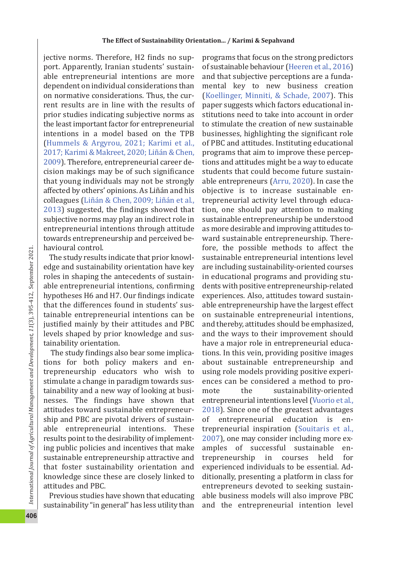jective norms. Therefore, H2 finds no sup ‐ port. Apparently, Iranian students' sustain ‐ able entrepreneurial intentions are more dependent on individual considerations than on normative considerations. Thus, the cur ‐ rent results are in line with the results of prior studies indicating subjective norms as the least important factor for entrepreneurial intentions in a model based on the TPB (Hummels & Argyrou, 2021; Karimi et al., 2017; Karimi & Makreet, 2020; Liñán & Chen, 2009). Therefore, entrepreneurial career de ‐ cision makings may be of such signi ficance that young individuals may not be strongly affected by others' opinions. As Liñán and his colleagues (Liñán & Chen, 2009; Liñán et al., 2013) suggested, the findings showed that subjective norms may play an indirect role in entrepreneurial intentions through attitude towards entrepreneurship and perceived be ‐ havioural control.

The study results indicate that prior knowl ‐ edge and sustainability orientation have key roles in shaping the antecedents of sustain ‐ able entrepreneurial intentions, con firming hypotheses H6 and H7. Our findings indicate that the differences found in students' sus ‐ tainable entrepreneurial intentions can be justi fied mainly by their attitudes and PBC levels shaped by prior knowledge and sus ‐ tainability orientation.

 The study findings also bear some implica ‐ tions for both policy makers and en ‐ trepreneurship educators who wish to stimulate a change in paradigm towards sus ‐ tainability and a new way of looking at busi ‐ nesses. The findings have shown that attitudes toward sustainable entrepreneur ‐ ship and PBC are pivotal drivers of sustain ‐ able entrepreneurial intentions. These results point to the desirability of implement ‐ ing public policies and incentives that make sustainable entrepreneurship attractive and that foster sustainability orientation and knowledge since these are closely linked to attitudes and PBC.

Previous studies have shown that educating sustainability "in general" has less utility than programs that focus on the strong predictors of sustainable behaviour (Heeren et al., 2016 ) and that subjective perceptions are a funda ‐ mental key to new business creation (Koellinger, Minniti, & Schade, 2007). This paper suggests which factors educational in ‐ stitutions need to take into account in order to stimulate the creation of new sustainable businesses, highlighting the signi ficant role of PBC and attitudes. Instituting educational programs that aim to improve these percep ‐ tions and attitudes might be a way to educate students that could become future sustain ‐ able entrepreneurs (Arru, 2020). In case the objective is to increase sustainable en ‐ trepreneurial activity level through educa ‐ tion, one should pay attention to making sustainable entrepreneurship be understood as more desirable and improving attitudes to ‐ ward sustainable entrepreneurship. There ‐ fore, the possible methods to affect the sustainable entrepreneurial intentions level are including sustainability ‐oriented courses in educational programs and providing stu ‐ dents with positive entrepreneurship ‐related experiences. Also, attitudes toward sustain ‐ able entrepreneurship have the largest effect on sustainable entrepreneurial intentions, and thereby, attitudes should be emphasized, and the ways to their improvement should have a major role in entrepreneurial educa ‐ tions. In this vein, providing positive images about sustainable entrepreneurship and using role models providing positive experi ‐ ences can be considered a method to pro ‐ mote the sustainability-oriented entrepreneurial intentions level (Vuorio et al., 2018). Since one of the greatest advantages of entrepreneurial education is entrepreneurial inspiration (Souitaris et al., 2007), one may consider including more ex ‐ amples of successful sustainable entrepreneurship in courses held for experienced individuals to be essential. Ad ‐ ditionally, presenting a platform in class for entrepreneurs devoted to seeking sustain ‐ able business models will also improve PBC and the entrepreneurial intention level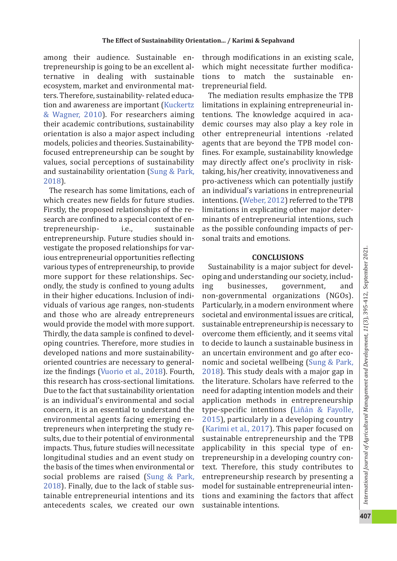among their audience. Sustainable en ‐ trepreneurship is going to be an excellent al ‐ ternative in dealing with sustainable ecosystem, market and environmental mat ‐ ters. Therefore, sustainability ‐ related educa ‐ tion and awareness are important (Kuckertz & Wagner, 2010). For researchers aiming their academic contributions, sustainability orientation is also a major aspect including models, policies and theories. Sustainability ‐ focused entrepreneurship can be sought by values, social perceptions of sustainability and sustainability orientation (Sung & Park, 2018).

The research has some limitations, each of which creates new fields for future studies. Firstly, the proposed relationships of the re ‐ search are con fined to a special context of en ‐ trepreneurship ‐ i.e., sustainable entrepreneurship. Future studies should in ‐ vestigate the proposed relationships for var ‐ ious entrepreneurial opportunities re flecting various types of entrepreneurship, to provide more support for these relationships. Sec ‐ ondly, the study is con fined to young adults in their higher educations. Inclusion of indi ‐ viduals of various age ranges, non ‐students and those who are already entrepreneurs would provide the model with more support. Thirdly, the data sample is con fined to devel ‐ oping countries. Therefore, more studies in developed nations and more sustainability ‐ oriented countries are necessary to general ‐ ize the findings (Vuorio et al., 2018). Fourth, this research has cross ‐sectional limitations. Due to the fact that sustainability orientation is an individual's environmental and social concern, it is an essential to understand the environmental agents facing emerging en ‐ trepreneurs when interpreting the study re ‐ sults, due to their potential of environmental impacts. Thus, future studies will necessitate longitudinal studies and an event study on the basis of the times when environmental or social problems are raised (Sung & Park, 2018). Finally, due to the lack of stable sus ‐ tainable entrepreneurial intentions and its antecedents scales, we created our own

through modi fications in an existing scale, which might necessitate further modifications to match the sustainable entrepreneurial field.

The mediation results emphasize the TPB limitations in explaining entrepreneurial in ‐ tentions. The knowledge acquired in aca ‐ demic courses may also play a key role in other entrepreneurial intentions ‐related agents that are beyond the TPB model con ‐ fines. For example, sustainability knowledge may directly affect one's proclivity in risk ‐ taking, his/her creativity, innovativeness and pro ‐activeness which can potentially justify an individual's variations in entrepreneurial intentions. (Weber, 2012) referred to the TPB limitations in explicating other major deter ‐ minants of entrepreneurial intentions, such as the possible confounding impacts of per ‐ sonal traits and emotions.

#### **CONCLUSIONS**

Sustainability is a major subject for devel ‐ oping and understanding our society, includ ‐ ing businesses, government, and non ‐governmental organizations (NGOs). Particularly, in a modern environment where societal and environmental issues are critical, sustainable entrepreneurship is necessary to overcome them efficiently, and it seems vital to decide to launch a sustainable business in an uncertain environment and go after eco ‐ nomic and societal wellbeing (Sung & Park, 2018). This study deals with a major gap in the literature. Scholars have referred to the need for adapting intention models and their application methods in entrepreneurship type ‐speci fic intentions (Liñán & Fayolle, 2015), particularly in a developing country (Karimi et al., 2017). This paper focused on sustainable entrepreneurship and the TPB applicability in this special type of en ‐ trepreneurship in a developing country con ‐ text. Therefore, this study contributes to entrepreneurship research by presenting a model for sustainable entrepreneurial inten ‐ tions and examining the factors that affect sustainable intentions.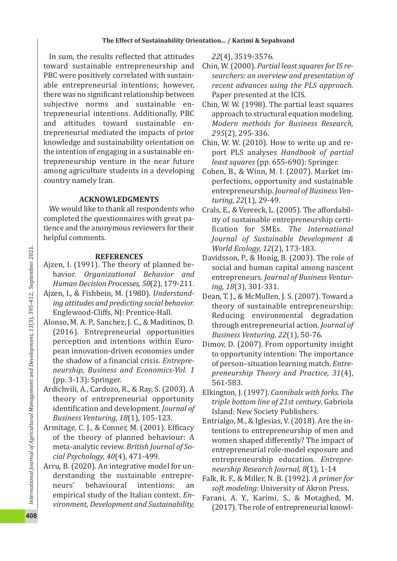In sum, the results re flected that attitudes toward sustainable entrepreneurship and PBC were positively correlated with sustain ‐ able entrepreneurial intentions; however, there was no signi ficant relationship between subjective norms and sustainable entrepreneurial intentions. Additionally, PBC and attitudes toward sustainable en ‐ trepreneurial mediated the impacts of prior knowledge and sustainability orientation on the intention of engaging in a sustainable en ‐ trepreneurship venture in the near future among agriculture students in a developing country namely Iran.

# **ACKNOWLEDGMENTS**

We would like to thank all respondents who completed the questionnaires with great pa ‐ tience and the anonymous reviewers for their helpful comments.

# **REFERENCES**

- Ajzen, I. (1991). The theory of planned be ‐ havior. *Organizational Behavior and Human Decision Processes, 50*(2), 179 ‐211.
- Ajzen, I., & Fishbein, M. (1980). *Understand ‑ ing attitudes and predicting social behavior.* Englewood ‐Cliffs, NJ: Prentice ‐Hall.
- Alonso, M. A. P., Sanchez, J. C., & Maditinos, D. (2016). Entrepreneurial opportunities perception and intentions within Euro ‐ pean innovation ‐driven economies under the shadow of a financial crisis. *Entrepre ‑ neurship, Business and Economics ‑Vol. 1* (pp. 3 ‐13): Springer.
- Ardichvili, A., Cardozo, R., & Ray, S. (2003). A theory of entrepreneurial opportunity identi fication and development. *Journal of Business Venturing, 18*(1), 105 ‐123.
- Armitage, C. J., & Conner, M. (2001). Efficacy of the theory of planned behaviour: A meta ‐analytic review. *British Journal of So ‑ cial Psychology, 40*(4), 471 ‐499.
- Arru, B. (2020). An integrative model for un ‐ derstanding the sustainable entrepre ‐ neurs' behavioural intentions: an empirical study of the Italian context. *En ‑ vironment, Development and Sustainability,*

*22*(4), 3519 ‐3576.

- Chin, W. (2000). *Partial least squares for IS re ‑ searchers: an overview and presentation of recent advances using the PLS approach.* Paper presented at the ICIS.
- Chin, W. W. (1998). The partial least squares approach to structural equation modeling. *Modern methods for Business Research, 295*(2), 295 ‐336.
- Chin, W. W. (2010). How to write up and re ‐ port PLS analyses *Handbook of partial least squares* (pp. 655 ‐690): Springer.
- Cohen, B., & Winn, M. I. (2007). Market im ‐ perfections, opportunity and sustainable entrepreneurship. *Journal of Business Ven ‑ turing, 22*(1), 29 ‐49.
- Crals, E., & Vereeck, L. (2005). The affordabil ‐ ity of sustainable entrepreneurship certi ‐ fication for SMEs. *The International Journal of Sustainable Development & World Ecology, 12*(2), 173 ‐183.
- Davidsson, P., & Honig, B. (2003). The role of social and human capital among nascent entrepreneurs. *Journal of Business Ventur ‑ ing, 18*(3), 301 ‐331.
- Dean, T. J., & McMullen, J. S. (2007). Toward a theory of sustainable entrepreneurship: Reducing environmental degradation through entrepreneurial action. *Journal of Business Venturing, 22*(1), 50 ‐76.
- Dimov, D. (2007). From opportunity insight to opportunity intention: The importance of person–situation learning match. *Entre ‑ preneurship Theory and Practice, 31*(4), 561 ‐583.
- Elkington, J. (1997). *Cannibals with forks. The triple bottom line of 21st century*. Gabriola Island: New Society Publishers.
- Entrialgo, M., & Iglesias, V. (2018). Are the in ‐ tentions to entrepreneurship of men and women shaped differently? The impact of entrepreneurial role ‐model exposure and entrepreneurship education. *Entrepre ‑ neurship Research Journal, 8*(1), 1 ‐14
- Falk, R. F., & Miller, N. B. (1992). *A primer for soft modeling*: University of Akron Press.
- Farani, A. Y., Karimi, S., & Motaghed, M. (2017). The role of entrepreneurial knowl ‐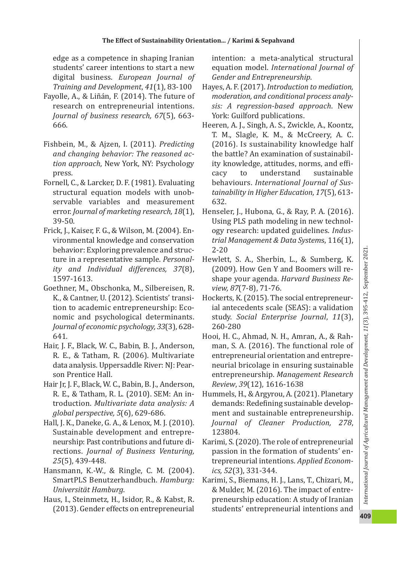edge as a competence in shaping Iranian students' career intentions to start a new digital business. *European Journal of Training and Development*, *41*(1), 83 ‐100

- Fayolle, A., & Liñán, F. (2014). The future of research on entrepreneurial intentions. *Journal of business research, 67*(5), 663 ‐ 666.
- Fishbein, M., & Ajzen, I. (2011). *Predicting and changing behavior: The reasoned ac ‑ tion approach*, New York, NY: Psychology press.
- Fornell, C., & Larcker, D. F. (1981). Evaluating structural equation models with unob ‐ servable variables and measurement error. *Journal of marketing research, 18*(1), 39 ‐50.
- Frick, J., Kaiser, F. G., & Wilson, M. (2004). En ‐ vironmental knowledge and conservation behavior: Exploring prevalence and struc ‐ ture in a representative sample. *Personal ‑ ity and Individual differences, 37*(8), 1597 ‐1613.
- Goethner, M., Obschonka, M., Silbereisen, R. K., & Cantner, U. (2012). Scientists' transi ‐ tion to academic entrepreneurship: Eco ‐ nomic and psychological determinants. *Journal of economic psychology, 33*(3), 628 ‐ 641.
- Hair, J. F., Black, W. C., Babin, B. J., Anderson, R. E., & Tatham, R. (2006). Multivariate data analysis. Uppersaddle River: NJ: Pear ‐ son Prentice Hall.
- Hair Jr, J. F., Black, W. C., Babin, B. J., Anderson, R. E., & Tatham, R. L. (2010). SEM: An in ‐ troduction. *Multivariate data analysis: A global perspective, 5*(6), 629 ‐686.
- Hall, J. K., Daneke, G. A., & Lenox, M. J. (2010). Sustainable development and entrepre ‐ neurship: Past contributions and future di ‐ rections. *Journal of Business Venturing, 25*(5), 439 ‐448.
- Hansmann, K. ‐W., & Ringle, C. M. (2004). SmartPLS Benutzerhandbuch. *Hamburg: Universität Hamburg*.
- Haus, I., Steinmetz, H., Isidor, R., & Kabst, R. (2013). Gender effects on entrepreneurial

intention: a meta ‐analytical structural equation model. *International Journal of Gender and Entrepreneurship*.

- Hayes, A. F. (2017). *Introduction to mediation, moderation, and conditional process analy ‑ sis: A regression ‑based approach*. New York: Guilford publications.
- Heeren, A. J., Singh, A. S., Zwickle, A., Koontz, T. M., Slagle, K. M., & McCreery, A. C. (2016). Is sustainability knowledge half the battle? An examination of sustainabil ‐ ity knowledge, attitudes, norms, and efficacy to understand sustainable behaviours. *International Journal of Sus ‑ tainability in Higher Education*, *17*(5), 613 ‐ 632.
- Henseler, J., Hubona, G., & Ray, P. A. (2016). Using PLS path modeling in new technol ‐ ogy research: updated guidelines. *Indus ‑ trial Management & Data System*s, 116(1), 2‐20
- Hewlett, S. A., Sherbin, L., & Sumberg, K. (2009). How Gen Y and Boomers will re ‐ shape your agenda. *Harvard Business Re ‑* view, 87(7-8), 71-76.
- Hockerts, K. (2015). The social entrepreneur ‐ ial antecedents scale (SEAS): a validation study. *Social Enterprise Journal*, *11*(3), 260 ‐280
- Hooi, H. C., Ahmad, N. H., Amran, A., & Rah ‐ man, S. A. (2016). The functional role of entrepreneurial orientation and entrepre ‐ neurial bricolage in ensuring sustainable entrepreneurship. *Management Research Review*, *39*(12), 1616 ‐1638
- Hummels, H., & Argyrou, A. (2021). Planetary demands: Rede fining sustainable develop ‐ ment and sustainable entrepreneurship. *Journal of Cleaner Production, 278* , 123804.
- Karimi, S. (2020). The role of entrepreneurial passion in the formation of students' en ‐ trepreneurial intentions. *Applied Econom ‑ ics, 52*(3), 331 ‐344.
- Karimi, S., Biemans, H. J., Lans, T., Chizari, M., & Mulder, M. (2016). The impact of entre ‐ preneurship education: A study of Iranian students' entrepreneurial intentions and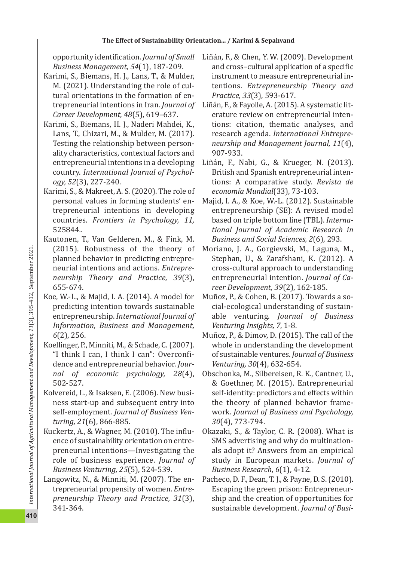opportunity identi fication. *Journal of Small Business Management, 54*(1), 187 ‐209.

- Karimi, S., Biemans, H. J., Lans, T., & Mulder, M. (2021). Understanding the role of cul ‐ tural orientations in the formation of en ‐ trepreneurial intentions in Iran. *Journal of Career Development*, *48*(5), 619–637.
- Karimi, S., Biemans, H. J., Naderi Mahdei, K., Lans, T., Chizari, M., & Mulder, M. (2017). Testing the relationship between person ‐ ality characteristics, contextual factors and entrepreneurial intentions in a developing country. *International Journal of Psychol ‑ ogy, 52*(3), 227 ‐240.
- Karimi, S., & Makreet, A. S. (2020). The role of personal values in forming students' en ‐ trepreneurial intentions in developing countries. *Frontiers in Psychology, 11,* 525844 *.*.
- Kautonen, T., Van Gelderen, M., & Fink, M. (2015). Robustness of the theory of planned behavior in predicting entrepre ‐ neurial intentions and actions. *Entrepre ‑ neurship Theory and Practice, 39*(3), 655 ‐674.
- Koe, W. ‐L., & Majid, I. A. (2014). A model for predicting intention towards sustainable entrepreneurship. *International Journal of Information, Business and Management, 6*(2), 256.
- Koellinger, P., Minniti, M., & Schade, C. (2007). "I think I can, I think I can": Overconfidence and entrepreneurial behavior. *Jour ‑ nal of economic psychology, 28*(4), 502 ‐527.
- Kolvereid, L., & Isaksen, E. (2006). New busi ‐ ness start ‐up and subsequent entry into self‐employment. *Journal of Business Ven ‑ turing, 21*(6), 866 ‐885.
- Kuckertz, A., & Wagner, M. (2010). The in flu ‐ ence of sustainability orientation on entre ‐ preneurial intentions—Investigating the role of business experience. *Journal of Business Venturing, 25*(5), 524 ‐539.
- Langowitz, N., & Minniti, M. (2007). The en ‐ trepreneurial propensity of women. *Entre ‑ preneurship Theory and Practice, 31*(3), 341 ‐364.
- Liñán, F., & Chen, Y. W. (2009). Development and cross–cultural application of a speci fic instrument to measure entrepreneurial in ‐ tentions. *Entrepreneurship Theory and Practice, 33*(3), 593 ‐617.
- Liñán, F., & Fayolle, A. (2015). A systematic lit ‐ erature review on entrepreneurial inten ‐ tions: citation, thematic analyses, and research agenda. *International Entrepre ‑ neurship and Management Journal, 11*(4), 907 ‐933.
- Liñán, F., Nabi, G., & Krueger, N. (2013). British and Spanish entrepreneurial inten ‐ tions: A comparative study. *Revista de economía Mundial*(33), 73 ‐103.
- Majid, I. A., & Koe, W. ‐L. (2012). Sustainable entrepreneurship (SE): A revised model based on triple bottom line (TBL). *Interna ‑ tional Journal of Academic Research in Business and Social Sciences, 2*(6), 293.
- Moriano, J. A., Gorgievski, M., Laguna, M., Stephan, U., & Zarafshani, K. (2012). A cross ‐cultural approach to understanding entrepreneurial intention. *Journal of Ca ‑ reer Development, 39*(2), 162 ‐185.
- Muñoz, P., & Cohen, B. (2017). Towards a so ‐ cial ‐ecological understanding of sustain ‐ able venturing. *Journal of Business Venturing Insights, 7*, 1 ‐8.
- Muñoz, P., & Dimov, D. (2015). The call of the whole in understanding the development of sustainable ventures. *Journal of Business Venturing, 30*(4), 632 ‐654.
- Obschonka, M., Silbereisen, R. K., Cantner, U., & Goethner, M. (2015). Entrepreneurial self-identity: predictors and effects within the theory of planned behavior frame ‐ work. *Journal of Business and Psychology, 30*(4), 773 ‐794.
- Okazaki, S., & Taylor, C. R. (2008). What is SMS advertising and why do multination ‐ als adopt it? Answers from an empirical study in European markets. *Journal of Business Research*, *6*(1), 4 ‐12.
- Pacheco, D. F., Dean, T. J., & Payne, D. S. (2010). Escaping the green prison: Entrepreneur ‐ ship and the creation of opportunities for sustainable development. *Journal of Busi ‑*

**410**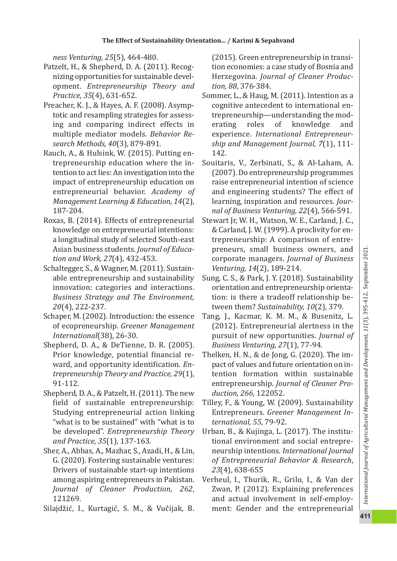*ness Venturing, 25*(5), 464 ‐480.

- Patzelt, H., & Shepherd, D. A. (2011). Recog ‐ nizing opportunities for sustainable devel ‐ opment. *Entrepreneurship Theory and Practice, 35*(4), 631 ‐652.
- Preacher, K. J., & Hayes, A. F. (2008). Asymp ‐ totic and resampling strategies for assess ‐ ing and comparing indirect effects in multiple mediator models. *Behavior Re ‑ search Methods, 40*(3), 879 ‐891.
- Rauch, A., & Hulsink, W. (2015). Putting en ‐ trepreneurship education where the in ‐ tention to act lies: An investigation into the impact of entrepreneurship education on entrepreneurial behavior. *Academy of Management Learning & Education, 14*(2), 187 ‐204.
- Roxas, B. (2014). Effects of entrepreneurial knowledge on entrepreneurial intentions: a longitudinal study of selected South ‐east Asian business students. *Journal of Educa ‑ tion and Work, 27*(4), 432 ‐453.
- Schaltegger, S., & Wagner, M. (2011). Sustain ‐ able entrepreneurship and sustainability innovation: categories and interactions. *Business Strategy and The Environment, 20*(4), 222 ‐237.
- Schaper, M. (2002). Introduction: the essence of ecopreneurship. *Greener Management International*(38), 26 ‐30.
- Shepherd, D. A., & DeTienne, D. R. (2005). Prior knowledge, potential financial re ‐ ward, and opportunity identi fication. *En ‑ trepreneurship Theory and Practice, 29*(1), 91 ‐112.
- Shepherd, D. A., & Patzelt, H. (2011). The new field of sustainable entrepreneurship: Studying entrepreneurial action linking "what is to be sustained" with "what is to be developed". *Entrepreneurship Theory and Practice, 35*(1), 137 ‐163.
- Sher, A., Abbas, A., Mazhar, S., Azadi, H., & Lin, G. (2020). Fostering sustainable ventures: Drivers of sustainable start ‐up intentions among aspiring entrepreneurs in Pakistan. *Journal of Cleaner Production, 262* , 121269.
- Silajdži ć, I., Kurtagi ć, S. M., & Vu čijak, B.

(2015). Green entrepreneurship in transi ‐ tion economies: a case study of Bosnia and Herzegovina. *Journal of Cleaner Produc ‑ tion, 88*, 376 ‐384.

- Sommer, L., & Haug, M. (2011). Intention as a cognitive antecedent to international en ‐ trepreneurship—understanding the mod ‐ erating roles of knowledge and experience. *International Entrepreneur ‑ ship and Management Journal, 7*(1), 111 ‐ 142.
- Souitaris, V., Zerbinati, S., & Al ‐Laham, A. (2007). Do entrepreneurship programmes raise entrepreneurial intention of science and engineering students? The effect of learning, inspiration and resources. *Jour ‑ nal of Business Venturing, 22*(4), 566 ‐591.
- Stewart Jr, W. H., Watson, W. E., Carland, J. C., & Carland, J. W. (1999). A proclivity for en ‐ trepreneurship: A comparison of entre ‐ preneurs, small business owners, and corporate managers. *Journal of Business Venturing, 14*(2), 189 ‐214.
- Sung, C. S., & Park, J. Y. (2018). Sustainability orientation and entrepreneurship orienta ‐ tion: is there a tradeoff relationship be ‐ tween them? *Sustainability, 10*(2), 379.
- Tang, J., Kacmar, K. M. M., & Busenitz, L. (2012). Entrepreneurial alertness in the pursuit of new opportunities. *Journal of Business Venturing, 27*(1), 77 ‐94.
- Thelken, H. N., & de Jong, G. (2020). The im ‐ pact of values and future orientation on in ‐ tention formation within sustainable entrepreneurship. *Journal of Cleaner Pro ‑ duction, 266*, 122052.
- Tilley, F., & Young, W. (2009). Sustainability Entrepreneurs. *Greener Management In ‑ ternational, 55*, 79 ‐92.
- Urban, B., & Kujinga, L. (2017). The institu ‐ tional environment and social entrepre ‐ neurship intentions. *International Journal of Entrepreneurial Behavior & Research* , *23*(4), 638 ‐655
- Verheul, I., Thurik, R., Grilo, I., & Van der Zwan, P. (2012). Explaining preferences and actual involvement in self ‐employ ‐ ment: Gender and the entrepreneurial